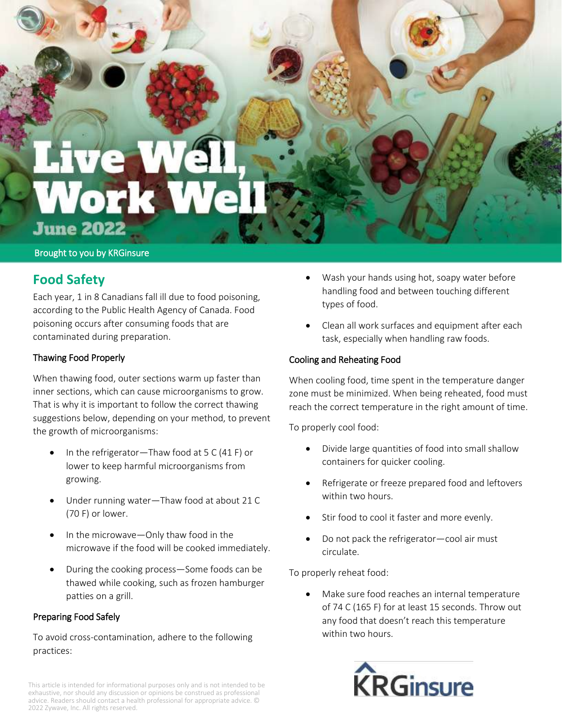# Work **June 2022**

#### Brought to you by KRGinsure

## **Food Safety**

Each year, 1 in 8 Canadians fall ill due to food poisoning, according to the Public Health Agency of Canada. Food poisoning occurs after consuming foods that are contaminated during preparation.

## Thawing Food Properly

When thawing food, outer sections warm up faster than inner sections, which can cause microorganisms to grow. That is why it is important to follow the correct thawing suggestions below, depending on your method, to prevent the growth of microorganisms:

- In the refrigerator—Thaw food at 5 C (41 F) or lower to keep harmful microorganisms from growing.
- Under running water—Thaw food at about 21 C (70 F) or lower.
- In the microwave—Only thaw food in the microwave if the food will be cooked immediately.
- During the cooking process—Some foods can be thawed while cooking, such as frozen hamburger patties on a grill.

## Preparing Food Safely

To avoid cross-contamination, adhere to the following practices:

- Wash your hands using hot, soapy water before handling food and between touching different types of food.
- Clean all work surfaces and equipment after each task, especially when handling raw foods.

## Cooling and Reheating Food

When cooling food, time spent in the temperature danger zone must be minimized. When being reheated, food must reach the correct temperature in the right amount of time.

To properly cool food:

- Divide large quantities of food into small shallow containers for quicker cooling.
- Refrigerate or freeze prepared food and leftovers within two hours.
- Stir food to cool it faster and more evenly.
- Do not pack the refrigerator—cool air must circulate.

To properly reheat food:

 Make sure food reaches an internal temperature of 74 C (165 F) for at least 15 seconds. Throw out any food that doesn't reach this temperature within two hours.



This article is intended for informational purposes only and is not intended to be exhaustive, nor should any discussion or opinions be construed as professional advice. Readers should contact a health professional for appropriate advice. © 2022 Zywave, Inc. All rights reserved.